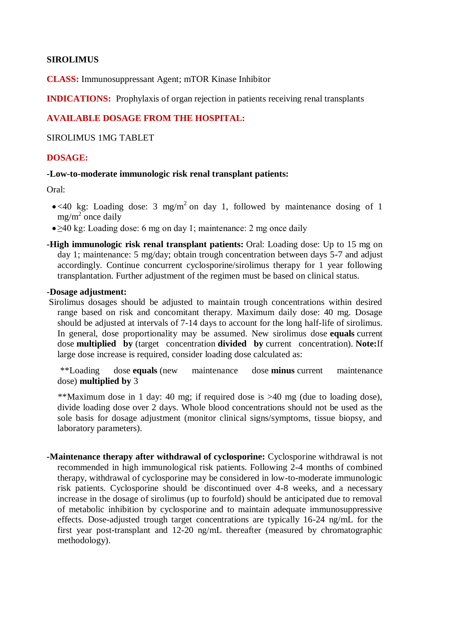### **SIROLIMUS**

**CLASS:** Immunosuppressant Agent; mTOR Kinase Inhibitor

**INDICATIONS:** Prophylaxis of organ rejection in patients receiving renal transplants

### **AVAILABLE DOSAGE FROM THE HOSPITAL:**

SIROLIMUS 1MG TABLET

### **DOSAGE:**

#### **-Low-to-moderate immunologic risk renal transplant patients:**

Oral:

- $\bullet$ <40 kg: Loading dose: 3 mg/m<sup>2</sup> on day 1, followed by maintenance dosing of 1  $mg/m^2$  once daily
- ≥40 kg: Loading dose: 6 mg on day 1; maintenance: 2 mg once daily
- **-High immunologic risk renal transplant patients:** Oral: Loading dose: Up to 15 mg on day 1; maintenance: 5 mg/day; obtain trough concentration between days 5-7 and adjust accordingly. Continue concurrent cyclosporine/sirolimus therapy for 1 year following transplantation. Further adjustment of the regimen must be based on clinical status.

#### **-Dosage adjustment:**

Sirolimus dosages should be adjusted to maintain trough concentrations within desired range based on risk and concomitant therapy. Maximum daily dose: 40 mg. Dosage should be adjusted at intervals of 7-14 days to account for the long half-life of sirolimus. In general, dose proportionality may be assumed. New sirolimus dose **equals** current dose **multiplied by** (target concentration **divided by** current concentration). **Note:**If large dose increase is required, consider loading dose calculated as:

 \*\*Loading dose **equals** (new maintenance dose **minus** current maintenance dose) **multiplied by** 3

 \*\*Maximum dose in 1 day: 40 mg; if required dose is >40 mg (due to loading dose), divide loading dose over 2 days. Whole blood concentrations should not be used as the sole basis for dosage adjustment (monitor clinical signs/symptoms, tissue biopsy, and laboratory parameters).

**-Maintenance therapy after withdrawal of cyclosporine:** Cyclosporine withdrawal is not recommended in high immunological risk patients. Following 2-4 months of combined therapy, withdrawal of cyclosporine may be considered in low-to-moderate immunologic risk patients. Cyclosporine should be discontinued over 4-8 weeks, and a necessary increase in the dosage of sirolimus (up to fourfold) should be anticipated due to removal of metabolic inhibition by cyclosporine and to maintain adequate immunosuppressive effects. Dose-adjusted trough target concentrations are typically 16-24 ng/mL for the first year post-transplant and 12-20 ng/mL thereafter (measured by chromatographic methodology).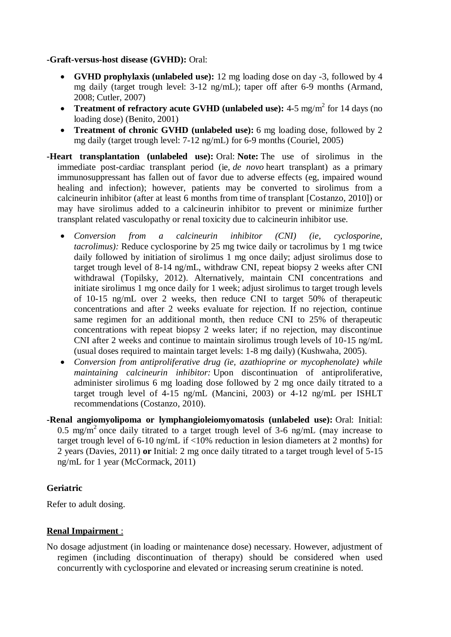### **-Graft-versus-host disease (GVHD):** Oral:

- **GVHD prophylaxis (unlabeled use):** 12 mg loading dose on day -3, followed by 4 mg daily (target trough level: 3-12 ng/mL); taper off after 6-9 months (Armand, 2008; Cutler, 2007)
- **Treatment of refractory acute GVHD (unlabeled use):** 4-5 mg/m<sup>2</sup> for 14 days (no loading dose) (Benito, 2001)
- **Treatment of chronic GVHD (unlabeled use):** 6 mg loading dose, followed by 2 mg daily (target trough level: 7-12 ng/mL) for 6-9 months (Couriel, 2005)
- **-Heart transplantation (unlabeled use):** Oral: **Note:** The use of sirolimus in the immediate post-cardiac transplant period (ie, *de novo* heart transplant) as a primary immunosuppressant has fallen out of favor due to adverse effects (eg, impaired wound healing and infection); however, patients may be converted to sirolimus from a calcineurin inhibitor (after at least 6 months from time of transplant [Costanzo, 2010]) or may have sirolimus added to a calcineurin inhibitor to prevent or minimize further transplant related vasculopathy or renal toxicity due to calcineurin inhibitor use.
	- *Conversion from a calcineurin inhibitor (CNI) (ie, cyclosporine, tacrolimus):* Reduce cyclosporine by 25 mg twice daily or tacrolimus by 1 mg twice daily followed by initiation of sirolimus 1 mg once daily; adjust sirolimus dose to target trough level of 8-14 ng/mL, withdraw CNI, repeat biopsy 2 weeks after CNI withdrawal (Topilsky, 2012). Alternatively, maintain CNI concentrations and initiate sirolimus 1 mg once daily for 1 week; adjust sirolimus to target trough levels of 10-15 ng/mL over 2 weeks, then reduce CNI to target 50% of therapeutic concentrations and after 2 weeks evaluate for rejection. If no rejection, continue same regimen for an additional month, then reduce CNI to 25% of therapeutic concentrations with repeat biopsy 2 weeks later; if no rejection, may discontinue CNI after 2 weeks and continue to maintain sirolimus trough levels of 10-15 ng/mL (usual doses required to maintain target levels: 1-8 mg daily) (Kushwaha, 2005).
	- *Conversion from antiproliferative drug (ie, azathioprine or mycophenolate) while maintaining calcineurin inhibitor:* Upon discontinuation of antiproliferative, administer sirolimus 6 mg loading dose followed by 2 mg once daily titrated to a target trough level of 4-15 ng/mL (Mancini, 2003) or 4-12 ng/mL per ISHLT recommendations (Costanzo, 2010).
- **-Renal angiomyolipoma or lymphangioleiomyomatosis (unlabeled use):** Oral: Initial: 0.5 mg/m<sup>2</sup> once daily titrated to a target trough level of 3-6 ng/mL (may increase to target trough level of 6-10 ng/mL if <10% reduction in lesion diameters at 2 months) for 2 years (Davies, 2011) **or** Initial: 2 mg once daily titrated to a target trough level of 5-15 ng/mL for 1 year (McCormack, 2011)

### **Geriatric**

Refer to adult dosing.

### **Renal Impairment** :

No dosage adjustment (in loading or maintenance dose) necessary. However, adjustment of regimen (including discontinuation of therapy) should be considered when used concurrently with cyclosporine and elevated or increasing serum creatinine is noted.